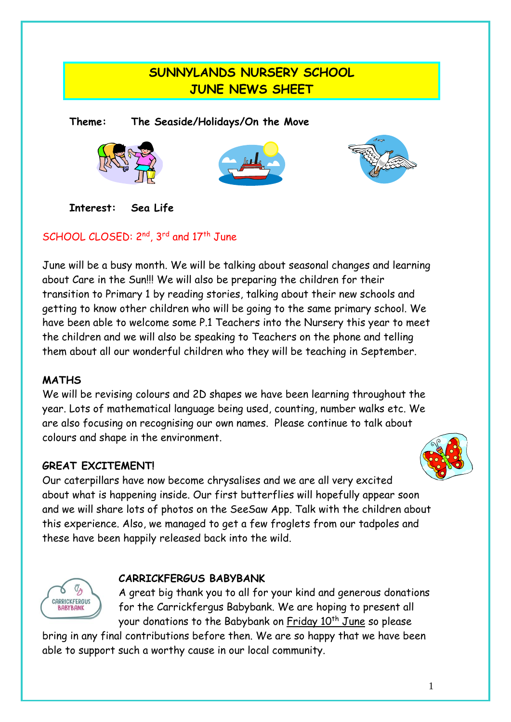### **SUNNYLANDS NURSERY SCHOOL JUNE NEWS SHEET**

**Theme: The Seaside/Holidays/On the Move**







**Interest: Sea Life**

#### SCHOOL CLOSED: 2<sup>nd</sup>, 3<sup>rd</sup> and 17<sup>th</sup> June

June will be a busy month. We will be talking about seasonal changes and learning about Care in the Sun!!! We will also be preparing the children for their transition to Primary 1 by reading stories, talking about their new schools and getting to know other children who will be going to the same primary school. We have been able to welcome some P.1 Teachers into the Nursery this year to meet the children and we will also be speaking to Teachers on the phone and telling them about all our wonderful children who they will be teaching in September.

#### **MATHS**

We will be revising colours and 2D shapes we have been learning throughout the year. Lots of mathematical language being used, counting, number walks etc. We are also focusing on recognising our own names. Please continue to talk about colours and shape in the environment.

#### **GREAT EXCITEMENT!**

Our caterpillars have now become chrysalises and we are all very excited about what is happening inside. Our first butterflies will hopefully appear soon and we will share lots of photos on the SeeSaw App. Talk with the children about this experience. Also, we managed to get a few froglets from our tadpoles and these have been happily released back into the wild.

## **CARRICKFERGUS** *RARYRANK*

#### **CARRICKFERGUS BABYBANK**

A great big thank you to all for your kind and generous donations for the Carrickfergus Babybank. We are hoping to present all your donations to the Babybank on Friday 10<sup>th</sup> June so please

bring in any final contributions before then. We are so happy that we have been able to support such a worthy cause in our local community.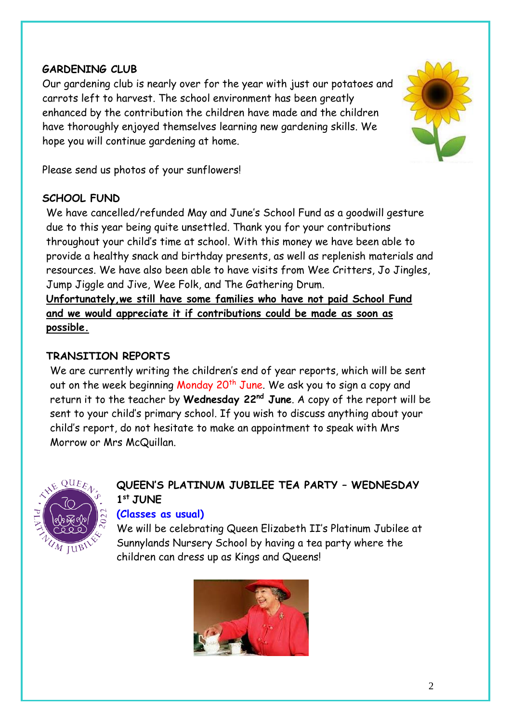#### **GARDENING CLUB**

Our gardening club is nearly over for the year with just our potatoes and carrots left to harvest. The school environment has been greatly enhanced by the contribution the children have made and the children have thoroughly enjoyed themselves learning new gardening skills. We hope you will continue gardening at home.



Please send us photos of your sunflowers!

#### **SCHOOL FUND**

We have cancelled/refunded May and June's School Fund as a goodwill gesture due to this year being quite unsettled. Thank you for your contributions throughout your child's time at school. With this money we have been able to provide a healthy snack and birthday presents, as well as replenish materials and resources. We have also been able to have visits from Wee Critters, Jo Jingles, Jump Jiggle and Jive, Wee Folk, and The Gathering Drum.

**Unfortunately,we still have some families who have not paid School Fund and we would appreciate it if contributions could be made as soon as possible.**

#### **TRANSITION REPORTS**

We are currently writing the children's end of year reports, which will be sent out on the week beginning Monday 20<sup>th</sup> June. We ask you to sign a copy and return it to the teacher by **Wednesday 22nd June**. A copy of the report will be sent to your child's primary school. If you wish to discuss anything about your child's report, do not hesitate to make an appointment to speak with Mrs Morrow or Mrs McQuillan.



#### **QUEEN'S PLATINUM JUBILEE TEA PARTY – WEDNESDAY 1 st JUNE**

#### **(Classes as usual)**

We will be celebrating Queen Elizabeth II's Platinum Jubilee at Sunnylands Nursery School by having a tea party where the children can dress up as Kings and Queens!

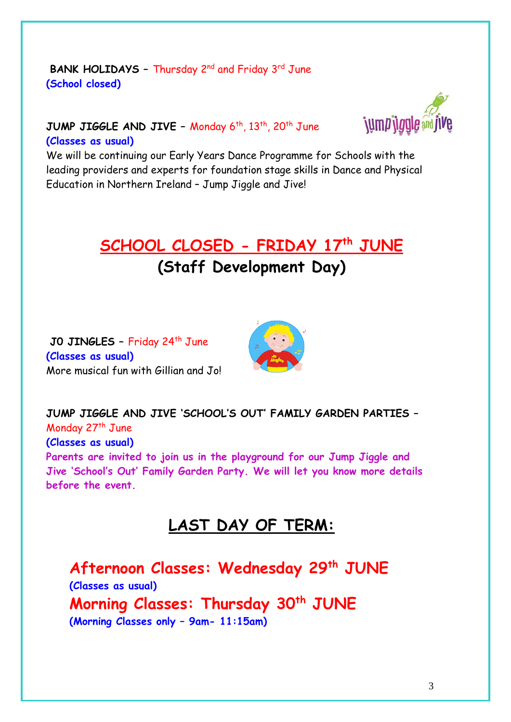#### **BANK HOLIDAYS - Thursday 2<sup>nd</sup> and Friday 3<sup>rd</sup> June (School closed)**



#### **JUMP JIGGLE AND JIVE –** Monday 6 th, 13th, 20th June **(Classes as usual)**

We will be continuing our Early Years Dance Programme for Schools with the leading providers and experts for foundation stage skills in Dance and Physical Education in Northern Ireland – Jump Jiggle and Jive!

# **SCHOOL CLOSED - FRIDAY 17th JUNE**

## **(Staff Development Day)**

**J0 JINGLES –** Friday 24th June **(Classes as usual)** More musical fun with Gillian and Jo!



**JUMP JIGGLE AND JIVE 'SCHOOL'S OUT' FAMILY GARDEN PARTIES –** Monday 27<sup>th</sup> June **(Classes as usual) Parents are invited to join us in the playground for our Jump Jiggle and Jive 'School's Out' Family Garden Party. We will let you know more details before the event.**

## **LAST DAY OF TERM:**

**Afternoon Classes: Wednesday 29th JUNE (Classes as usual) Morning Classes: Thursday 30th JUNE (Morning Classes only – 9am- 11:15am)**